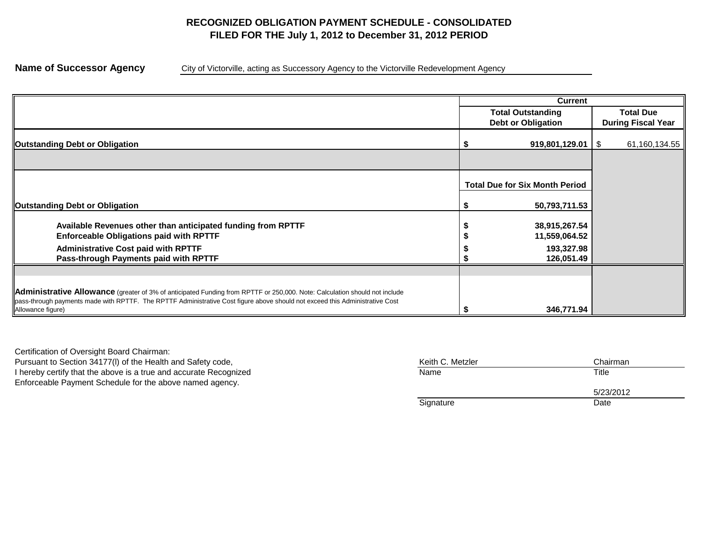# **RECOGNIZED OBLIGATION PAYMENT SCHEDULE - CONSOLIDATED FILED FOR THE July 1, 2012 to December 31, 2012 PERIOD**

**Name of Successor Agency** City of Victorville, acting as Successory Agency to the Victorville Redevelopment Agency

|                                                                                                                                                                                                                                                                                 | <b>Current</b>                        |                           |
|---------------------------------------------------------------------------------------------------------------------------------------------------------------------------------------------------------------------------------------------------------------------------------|---------------------------------------|---------------------------|
|                                                                                                                                                                                                                                                                                 | <b>Total Outstanding</b>              | <b>Total Due</b>          |
|                                                                                                                                                                                                                                                                                 | <b>Debt or Obligation</b>             | <b>During Fiscal Year</b> |
| <b>Outstanding Debt or Obligation</b>                                                                                                                                                                                                                                           | $919,801,129.01$   \$                 | 61,160,134.55             |
|                                                                                                                                                                                                                                                                                 |                                       |                           |
|                                                                                                                                                                                                                                                                                 | <b>Total Due for Six Month Period</b> |                           |
| <b>Outstanding Debt or Obligation</b>                                                                                                                                                                                                                                           | 50,793,711.53                         |                           |
| Available Revenues other than anticipated funding from RPTTF                                                                                                                                                                                                                    | 38,915,267.54                         |                           |
| <b>Enforceable Obligations paid with RPTTF</b>                                                                                                                                                                                                                                  | 11,559,064.52                         |                           |
| <b>Administrative Cost paid with RPTTF</b><br>Pass-through Payments paid with RPTTF                                                                                                                                                                                             | 193,327.98<br>126,051.49              |                           |
|                                                                                                                                                                                                                                                                                 |                                       |                           |
| Administrative Allowance (greater of 3% of anticipated Funding from RPTTF or 250,000. Note: Calculation should not include<br>pass-through payments made with RPTTF. The RPTTF Administrative Cost figure above should not exceed this Administrative Cost<br>Allowance figure) | 346,771.94                            |                           |

Certification of Oversight Board Chairman: Pursuant to Section 34177(I) of the Health and Safety code, I hereby certify that the above is a true and accurate Recognized Enforceable Payment Schedule for the above named agency.

| Keith C. Metzler | Chairman  |
|------------------|-----------|
| Name             | Title     |
|                  | 5/23/2012 |
| Signature        | Date      |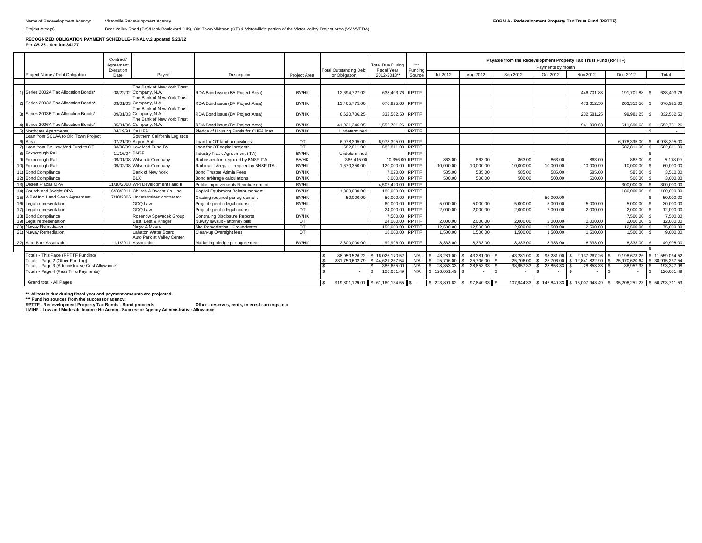#### **RECOGNIZED OBLIGATION PAYMENT SCHEDULE- FINAL v.2 updated 5/23/12**

**Per AB 26 - Section 34177** 

|                                 |                                                   | Contract/<br>Agreement<br>Execution |                                                      |                                                                  |                       | <b>Total Outstanding Debt</b> | <b>Total Due During</b><br><b>Fiscal Year</b>                     | ***<br>Fundina | Payable from the Redevelopment Property Tax Trust Fund (RPTTF)<br>Payments by month |                          |                       |                                 |                       |                                                                             |                                  |
|---------------------------------|---------------------------------------------------|-------------------------------------|------------------------------------------------------|------------------------------------------------------------------|-----------------------|-------------------------------|-------------------------------------------------------------------|----------------|-------------------------------------------------------------------------------------|--------------------------|-----------------------|---------------------------------|-----------------------|-----------------------------------------------------------------------------|----------------------------------|
|                                 | Project Name / Debt Obligation                    | Date                                | Pavee                                                | Description                                                      | Project Area          | or Obligation                 | 2012-2013*                                                        | Source         | Jul 2012                                                                            | Aug 2012                 | Sep 2012              | Oct 2012                        | Nov 2012              | Dec 2012                                                                    | Total                            |
|                                 |                                                   |                                     |                                                      |                                                                  |                       |                               |                                                                   |                |                                                                                     |                          |                       |                                 |                       |                                                                             |                                  |
|                                 |                                                   |                                     | The Bank of New York Trust                           |                                                                  |                       |                               |                                                                   |                |                                                                                     |                          |                       |                                 |                       |                                                                             |                                  |
|                                 | 1) Series 2002A Tax Allocation Bonds              |                                     | 08/22/02 Company, N.A.<br>The Bank of New York Trust | RDA Bond issue (BV Proiect Area)                                 | BV/HK                 | 12.694.727.02                 | 638,403.76 RPTTF                                                  |                |                                                                                     |                          |                       |                                 | 446.701.88            | 191.701.88                                                                  | 638,403.76                       |
|                                 | 2) Series 2003A Tax Allocation Bonds              |                                     | 09/01/03 Company, N.A.                               | RDA Bond issue (BV Proiect Area)                                 | BV/HK                 | 13.465.775.00                 | 676.925.00 RPTTF                                                  |                |                                                                                     |                          |                       |                                 | 473.612.50            | 203.312.50                                                                  | 676.925.00                       |
|                                 |                                                   |                                     | The Bank of New York Trust                           |                                                                  |                       |                               |                                                                   |                |                                                                                     |                          |                       |                                 |                       |                                                                             |                                  |
|                                 | 3) Series 2003B Tax Allocation Bonds              |                                     | 09/01/03 Company, N.A.                               | RDA Bond issue (BV Project Area)                                 | BV/HK                 | 6.620.706.25                  | 332.562.50 RPTTF                                                  |                |                                                                                     |                          |                       |                                 | 232.581.25            | 99.981.25                                                                   | 332.562.50                       |
|                                 |                                                   |                                     | The Bank of New York Trust                           |                                                                  |                       |                               |                                                                   |                |                                                                                     |                          |                       |                                 |                       |                                                                             |                                  |
|                                 | 4) Series 2006A Tax Allocation Bonds              |                                     | 05/01/06 Company, N.A.                               | RDA Bond issue (BV Project Area)                                 | BV/HK                 | 41.021.346.95                 | 1.552.781.26 RPTTF                                                |                |                                                                                     |                          |                       |                                 | 941.090.63            |                                                                             | 611.690.63 \$ 1.552.781.26       |
|                                 | 5) Northgate Apartments                           | 04/19/91 CalHFA                     |                                                      | Pledge of Housing Funds for CHFA loan                            | BV/HK                 | Undetermined                  |                                                                   | RPTTF          |                                                                                     |                          |                       |                                 |                       |                                                                             |                                  |
|                                 | Loan from SCLAA to Old Town Project               |                                     | Southern California Logistics                        |                                                                  |                       |                               |                                                                   |                |                                                                                     |                          |                       |                                 |                       |                                                                             |                                  |
|                                 | 6) Area<br>7) Loan from BV Low Mod Fund to OT     | 03/08/99                            | 07/21/09 Airport Auth<br>ow Mod Fund-BV              | Loan for OT land acquisitions<br>Loan for OT capital projects    | OT<br>OT              | 6.978.395.00<br>582.811.00    | 6,978,395.00 RPTTF<br>582.811.00 RPTTF                            |                |                                                                                     |                          |                       |                                 |                       | 6.978.395.00<br>582.811.00                                                  | 6.978.395.00<br>£.<br>582.811.00 |
|                                 | 8) Foxborough Rail                                | 11/16/04                            | <b>BNSF</b>                                          | Industry Track Agreement (ITA)                                   | <b>BV/HK</b>          | Undetermined                  |                                                                   | <b>RPTTF</b>   |                                                                                     |                          |                       |                                 |                       |                                                                             |                                  |
|                                 |                                                   | 09/01/08                            | Wilson & Company                                     | Rail inspection-required by BNSF ITA                             | <b>BV/HK</b>          | 366,415,00                    | 10.356.00 RPTTF                                                   |                | 863.00                                                                              | 863.00                   | 863.00                | 863.00                          | 863.00                | 863.00                                                                      |                                  |
|                                 | 9) Foxborough Rail                                |                                     |                                                      |                                                                  |                       |                               | 120,000.00                                                        |                |                                                                                     |                          |                       |                                 |                       | 10.000.00                                                                   | 5,178.00                         |
|                                 | 10) Foxborough Rail                               | 09/02/08                            | Wilson & Company                                     | Rail maint &repair - requied by BNSF ITA                         | <b>BV/HK</b>          | 1,670,350.00                  |                                                                   | <b>RPTTF</b>   | 10.000.00<br>585.00                                                                 | 10.000.00                | 10.000.00             | 10.000.00                       | 10.000.00<br>585.00   | 585.00                                                                      | 60,000,00                        |
|                                 | 11) Bond Compliance                               |                                     | Bank of New York                                     | <b>Bond Trustee Admin Fees</b>                                   | <b>BV/HK</b>          |                               | 7.020.00 RPTTF                                                    |                |                                                                                     | 585.00                   | 585.00                | 585.00                          |                       |                                                                             | 3.510.00                         |
|                                 | 12) Bond Compliance                               |                                     | <b>BLX</b>                                           | Bond arbitrage calculations                                      | <b>BV/HK</b>          |                               | 6,000.00 RPTTF                                                    |                | 500.00                                                                              | 500.00                   | 500.00                | 500.00                          | 500.00                | 500.00                                                                      | 3.000.00                         |
| 13)                             | Desert Plazas OPA                                 | 11/18/2008                          | WPI Development I and II                             | Public Improvements Reimbursement                                | BV/HK                 |                               | 4.507.420.00                                                      | <b>RPTTF</b>   |                                                                                     |                          |                       |                                 |                       | 300,000,00                                                                  | 300.000.00                       |
|                                 | 14) Church and Dwight OPA                         | 6/28/201                            | Church & Dwight Co., Inc.                            | Capital Equipment Reimbursement                                  | <b>BV/HK</b>          | 1.800.000.00                  | 180.000.00                                                        | <b>RPTTF</b>   |                                                                                     |                          |                       |                                 |                       | 180.000.00                                                                  | 180.000.00                       |
| 15)                             | WBW Inc. Land Swap Agreement                      | 7/10/2006                           | Undetermined contractor                              | Grading required per agreement                                   | <b>BV/HK</b>          | 50,000,00                     | 50.000.00                                                         | <b>RPTTF</b>   |                                                                                     |                          |                       | 50.000.00                       |                       |                                                                             | 50.000.00                        |
|                                 | 16) Legal representation                          |                                     | GDQ Law                                              | Project specific legal counsel                                   | <b>BV/HK</b>          |                               | 60,000,00                                                         | <b>RPTTF</b>   | 5.000.00                                                                            | 5.000.00                 | 5.000.00              | 5.000.00                        | 5.000.00              | 5.000.00                                                                    | 30,000,00                        |
| 17)                             | Legal representation                              |                                     | GDQ Law                                              | Project specific legal counsel                                   | OT                    |                               | 24.000.00                                                         | <b>RPTTF</b>   | 2.000.00                                                                            | 2.000.00                 | 2.000.00              | 2.000.00                        | 2.000.00              | 2.000.00                                                                    | 12.000.00                        |
|                                 | 18) Bond Compliance                               |                                     | Rosenow Spevacek Group                               | Continuing Disclosure Reports                                    | <b>BV/HK</b>          |                               | 7.500.00 RPTTF                                                    |                |                                                                                     |                          |                       |                                 |                       | 7.500.00                                                                    | 7.500.00                         |
|                                 | 19) Legal representation<br>20) Nuway Remediation |                                     | Best, Best & Krieger<br>Ninvo & Moore                | Nuway lawsuit - attorney bills<br>Site Remediation - Groundwater | OT<br>$\overline{OT}$ |                               | 24.000.00<br>150,000.00 RPTTF                                     | <b>RPTTF</b>   | 2.000.00<br>12,500.00                                                               | 2.000.00<br>12.500.00    | 2.000.00<br>12,500.00 | 2.000.00<br>12.500.00           | 2.000.00<br>12,500.00 | 2,000.00<br>12,500.00                                                       | 12,000.00<br>75.000.00           |
|                                 | 21) Nuway Remediation                             |                                     | Lahaton Water Board                                  | Clean-up Oversight fees                                          | OT                    |                               | 18,000.00 RPTTF                                                   |                | 1.500.00                                                                            | 1.500.00                 | 1.500.00              | 1.500.00                        | 1.500.00              | 1.500.00                                                                    | 9.000.00                         |
|                                 |                                                   |                                     | Auto Park at Valley Center                           |                                                                  |                       |                               |                                                                   |                |                                                                                     |                          |                       |                                 |                       |                                                                             |                                  |
|                                 | 22) Auto Park Association                         |                                     | 1/1/2011 Association                                 | Marketing pledge per agreement                                   | BV/HK                 | 2.800.000.00                  | 99.996.00 RPTTF                                                   |                | 8.333.00                                                                            | 8.333.00                 | 8.333.00              | 8.333.00                        | 8.333.00              | 8.333.00                                                                    | 49.998.00                        |
|                                 |                                                   |                                     |                                                      |                                                                  |                       |                               |                                                                   |                |                                                                                     |                          |                       |                                 |                       |                                                                             |                                  |
|                                 | Totals - This Page (RPTTF Funding)                |                                     |                                                      |                                                                  |                       | 88.050.526.22                 | \$16.026.170.52                                                   | N/A            | 43.281.00                                                                           | 43.281.00                | 43.281.00             | 93.281.00<br>$\mathbf{\hat{S}}$ | \$ 2.137.267.26       | 9.198.673.26                                                                | \$11.559.064.52                  |
| Totals - Page 2 (Other Funding) |                                                   |                                     |                                                      |                                                                  | 831.750.602.79        | \$44.621.257.54               | N/A                                                               | 25,706.00      | 25,706.00                                                                           | 25,706.00                | 25,706.00             | \$12,841,822.90                 | 25.970.620.64         | \$38,915,267,54                                                             |                                  |
|                                 | Totals - Page 3 (Administrative Cost Allowance)   |                                     |                                                      |                                                                  |                       |                               | 386.655.00                                                        | N/A            | 28.853.33                                                                           | 28.853.33                | 38.957.33             | 28.853.33                       | 28.853.33             | 38.957.33                                                                   | 193.327.98                       |
|                                 | Totals - Page 4 (Pass Thru Payments)              |                                     |                                                      |                                                                  |                       | $\sim$                        | 126.051.49                                                        | N/A            | \$126,051.49                                                                        | $\overline{\phantom{a}}$ | $\sim$                | $\sim$                          | $\sim$                | $\sim$                                                                      | 126.051.49                       |
|                                 | Grand total - All Pages                           |                                     |                                                      |                                                                  |                       |                               |                                                                   |                |                                                                                     |                          |                       |                                 |                       |                                                                             |                                  |
|                                 |                                                   |                                     |                                                      |                                                                  |                       |                               | $919,801,129.01$ \$ 61,160,134.55 \$ - \$ 223,891.82 \$ 97,840.33 |                |                                                                                     |                          |                       |                                 |                       | 107,944.33 \$ 147,840.33 \$ 15,007,943.49 \$ 35,208,251.23 \$ 50,793,711.53 |                                  |

**\*\* All totals due during fiscal year and payment amounts are projected. \*\*\* Funding sources from the successor agency: RPTTF - Redevelopment Property Tax Trust Fund Bonds - Bond proceeds Other - reserves, rents, interest earnings, etc LMIHF - Low and Moderate Income Housing Fund Admin - Successor Agency Administrative Allowance**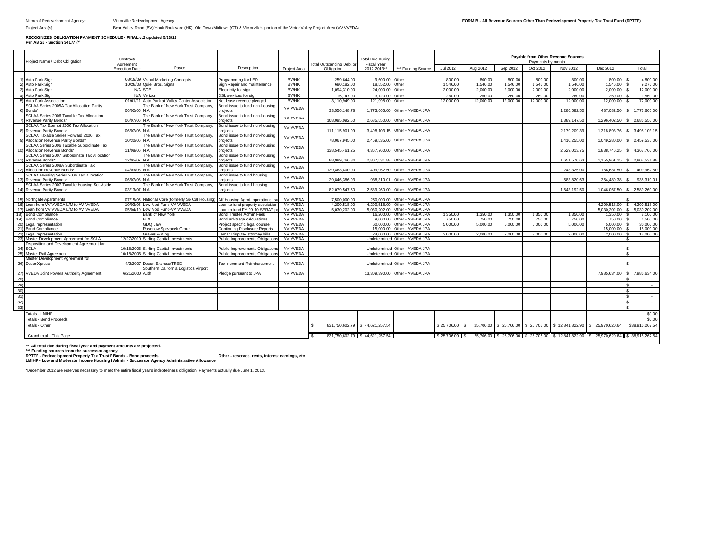Project Area(s) **Bear Valley Road (BV)/Hook Boulevard (HK)**, Old Town/Midtown (OT) & Victorville's portion of the Victor Valley Project Area (VV VVEDA)

## **RECOGNIZED OBLIGATION PAYMENT SCHEDULE - FINAL v.2 updated 5/23/12 Per AB 26 - Section 34177 (\*)**

|                 | Project Name / Debt Obligation                | Contract/                  |                                                 |                                   |                 |                                                | <b>Total Due During</b>           |                                 |             |           | Payable from Other Revenue Sources<br>Payments by month |             |                 |                                                                                   |                              |
|-----------------|-----------------------------------------------|----------------------------|-------------------------------------------------|-----------------------------------|-----------------|------------------------------------------------|-----------------------------------|---------------------------------|-------------|-----------|---------------------------------------------------------|-------------|-----------------|-----------------------------------------------------------------------------------|------------------------------|
|                 |                                               | Agreement<br>xecution Date | Payee                                           | Description                       | Project Area    | <b>Total Outstanding Debt or</b><br>Obligation | <b>Fiscal Year</b><br>2012-2013** | *** Funding Source              | Jul 2012    | Aug 2012  | Sep 2012                                                | Oct 2012    | Nov 2012        | Dec 2012                                                                          | Total                        |
|                 |                                               |                            |                                                 |                                   |                 |                                                |                                   |                                 |             |           |                                                         |             |                 |                                                                                   |                              |
|                 | Auto Park Sign                                |                            | 08/19/09 Visual Marketing Concepts              | Programming for LED               | <b>BV/HK</b>    | 259.644.00                                     | 9,600.00 Other                    |                                 | 800.00      | 800.00    | 800.00                                                  | 800.00      | 800.00          | 800.00                                                                            | 4.800.00                     |
|                 | Auto Park Sign                                |                            | 10/28/08 Quiel Bros, Signs                      | Sign Repair and maintenance       | <b>BV/HK</b>    | 680.182.00                                     | 18,552.00                         | Other                           | 1,546.00    | 1,546.00  | 1.546.00                                                | 1,546.00    | 1,546.00        | 1,546.00                                                                          | 9.276.00                     |
|                 | Auto Park Sign                                |                            | N/A SCE                                         | Electricity for sign              | <b>BV/HK</b>    | 1.094.310.00                                   | 24.000.00                         | Other                           | 2.000.00    | 2.000.00  | 2.000.00                                                | 2.000.00    | 2.000.00        | 2.000.00                                                                          | 12.000.00                    |
|                 | Auto Park Sign                                |                            | N/A Verizon                                     | <b>DSL</b> services for sign      | BV/HK           | 115,147.00                                     | 3.120.00                          | Other                           | 260.00      | 260.00    | 260,00                                                  | 260.00      | 260.00          | 260.00                                                                            | 1.560.00                     |
|                 | Auto Park Association                         |                            | 01/01/11 Auto Park at Valley Center Association | Net lease revenue pledged         | <b>BV/HK</b>    | 3.110.949.00                                   | 121.998.00 Other                  |                                 | 12,000.00   | 12,000.00 | 12,000.00                                               | 12,000.00   | 12,000.00       | 12,000.00                                                                         | 72,000.00                    |
|                 | SCLAA Series 2005A Tax Allocation Parity      |                            | The Bank of New York Trust Company.             | Bond issue to fund non-housing    |                 |                                                |                                   |                                 |             |           |                                                         |             |                 |                                                                                   |                              |
|                 | Bonds*                                        | 06/02/05 N.A.              |                                                 | projects                          | <b>VV VVEDA</b> | 33.556.148.78                                  |                                   | 1.773.665.00 Other - VVEDA JPA  |             |           |                                                         |             | 1.286.582.50    |                                                                                   | 487.082.50 \$ 1.773.665.00   |
|                 | SCLAA Series 2006 Taxable Tax Allocation      |                            | The Bank of New York Trust Company,             | Bond issue to fund non-housing    |                 |                                                |                                   |                                 |             |           |                                                         |             |                 |                                                                                   |                              |
|                 | Revenue Parity Bonds*                         | 06/07/06 N.A               |                                                 | projects                          | VV VVEDA        | 108.095.092.50                                 |                                   | 2.685.550.00 Other - VVEDA JPA  |             |           |                                                         |             | 1.389.147.50    |                                                                                   | 1.296.402.50 \$ 2.685.550.00 |
|                 | SCLAA Tax Exempt 2006 Tax Allocation          |                            | The Bank of New York Trust Company.             | Bond issue to fund non-housing    |                 |                                                |                                   |                                 |             |           |                                                         |             |                 |                                                                                   |                              |
|                 | Revenue Parity Bonds*                         | 06/07/06 N.A.              |                                                 | projects                          | <b>VV VVEDA</b> | 111.115.901.99                                 |                                   | 3.498.103.15 Other - VVEDA JPA  |             |           |                                                         |             | 2.179.209.39    |                                                                                   | 1.318.893.76 \$ 3.498.103.15 |
|                 | SCLAA Taxable Series Forward 2006 Tax         |                            | The Bank of New York Trust Company.             | Bond issue to fund non-housing    |                 |                                                |                                   |                                 |             |           |                                                         |             |                 |                                                                                   |                              |
|                 | Allocation Revenue Parity Bonds*              | 10/30/06                   | N A                                             | projects                          | VV VVEDA        | 78.067.945.00                                  |                                   | 2,459,535.00 Other - VVEDA JPA  |             |           |                                                         |             | 1,410,255.00    |                                                                                   | 1,049,280.00 \$ 2,459,535.00 |
|                 | SCLAA Series 2006 Taxable Subordinate Tax     |                            | The Bank of New York Trust Company.             | Bond issue to fund non-housing    |                 |                                                |                                   |                                 |             |           |                                                         |             |                 |                                                                                   |                              |
| 10 <sub>1</sub> | Allocation Revenue Bonds*                     | 11/08/06 N.A               |                                                 | projects                          | <b>VV VVEDA</b> | 138.545.461.25                                 |                                   | 4.367.760.00 Other - VVEDA JPA  |             |           |                                                         |             | 2.529.013.75    |                                                                                   | 1.838.746.25 \$4.367.760.00  |
|                 | SCLAA Series 2007 Subordinate Tax Allocation  |                            | The Bank of New York Trust Company.             | Bond issue to fund non-housing    |                 |                                                |                                   |                                 |             |           |                                                         |             |                 |                                                                                   |                              |
| 11)             | Revenue Bonds*                                | 12/05/07 N.A               |                                                 | projects                          | <b>VV VVEDA</b> | 88.989.766.84                                  |                                   | 2.807.531.88 Other - VVEDA JPA  |             |           |                                                         |             | 1.651.570.63    |                                                                                   | 1.155.961.25 \$2.807.531.88  |
|                 | SCLAA Series 2008A Subordinate Tax            |                            | The Bank of New York Trust Company,             | Bond issue to fund non-housing    |                 |                                                |                                   |                                 |             |           |                                                         |             |                 |                                                                                   |                              |
| 12)             | Allocation Revenue Bonds*                     | 04/03/08                   | IN A                                            | rojects                           | <b>VV VVEDA</b> | 139.463.400.00                                 |                                   | 409.962.50 Other - VVEDA JPA    |             |           |                                                         |             | 243.325.00      | 166,637.50                                                                        | 409.962.50                   |
|                 | SCLAA Housing Series 2006 Tax Allocation      |                            | The Bank of New York Trust Company.             | Bond issue to fund housing        | <b>VV VVEDA</b> |                                                |                                   |                                 |             |           |                                                         |             |                 |                                                                                   |                              |
| 13)             | Revenue Parity Bonds'                         | 06/07/06                   | N.A                                             | projects                          |                 | 29.846.386.93                                  | 938.310.01                        | Other - VVEDA JPA               |             |           |                                                         |             | 583.820.63      | 354.489.38                                                                        | 938.310.01                   |
|                 | SCLAA Series 2007 Taxable Housing Set-Aside   |                            | The Bank of New York Trust Company,             | Bond issue to fund housing        | <b>VV VVEDA</b> |                                                |                                   |                                 |             |           |                                                         |             |                 |                                                                                   |                              |
| 14)             | Revenue Parity Bonds*                         | 03/13/07                   | N.A                                             | rojects                           |                 | 82.079.547.50                                  |                                   | 2.589.260.00 Other - VVEDA JPA  |             |           |                                                         |             | 1.543.192.50    | 1.046.067.50                                                                      | \$2.589,260.00               |
|                 |                                               |                            |                                                 |                                   |                 |                                                |                                   |                                 |             |           |                                                         |             |                 |                                                                                   |                              |
| 15)             | Northgate Apartments                          | 07/15/05                   | National Core (formerly So Cal Housing)         | Aff Housing Agmt- operational su  | <b>VV VVEDA</b> | 7.500.000.00                                   |                                   | 250,000.00 Other - VVEDA JPA    |             |           |                                                         |             |                 |                                                                                   |                              |
|                 | 16) Loan from VV VVEDA L/M to VV VVEDA        | 10/03/0                    | Low Mod Fund-VV VVEDA                           | Loan to fund property acquisition | VV VVEDA        | 4.200.518.00                                   |                                   | 4.200.518.00 Other - VVEDA JPA  |             |           |                                                         |             |                 | 4.200.518.00                                                                      | 4.200.518.00                 |
|                 | 17) Loan from VV VVEDA L/M to VV VVEDA        |                            | 05/04/10 Low Mod Fund-VV VVEDA                  | oan to fund FY 09-10 SERAF p      | <b>VV VVEDA</b> | 5.030.202.00                                   |                                   | 5.030.202.00 Other - VVEDA JPA  |             |           |                                                         |             |                 | 5.030.202.00                                                                      | 5.030.202.00                 |
| 18)             | <b>Bond Compliance</b>                        |                            | Bank of New York                                | <b>Bond Trustee Admin Fees</b>    | <b>VV VVEDA</b> |                                                | 16,200.00                         | Other - VVEDA JPA               | 1.350.00    | 1.350.00  | 1.350.00                                                | 1.350.00    | 1.350.00        | 1.350.00                                                                          | 8.100.00                     |
|                 | 19) Bond Compliance                           |                            | BLX                                             | Bond arbitrage calculations       | <b>VV VVEDA</b> |                                                |                                   | 9.000.00 Other - VVEDA JPA      | 750.00      | 750.00    | 750.00                                                  | 750.00      | 750.00          | 750.00                                                                            | 4.500.00                     |
| - 20)           | Legal representation                          |                            | GDO Law                                         | Project specific legal counsel    | VV VVEDA        |                                                | 60,000.00                         | Other - VVEDA JPA               | 5.000.00    | 5.000.00  | 5.000.00                                                | 5.000.00    | 5.000.00        | 5,000.00                                                                          | 30,000,00                    |
| 21)             | <b>Bond Compliance</b>                        |                            | Rosenow Spevacek Group                          | Continuing Disclosure Reports     | <b>VV VVEDA</b> |                                                | 15.000.00                         | Other - VVFDA JPA               |             |           |                                                         |             |                 | 15,000.00                                                                         | 15.000.00                    |
|                 | 22) Legal representation                      |                            | Graves & King                                   | Lamar Dispute- attorney bills     | VV VVEDA        |                                                | 24.000.00                         | Other - VVEDA JPA               | 2.000.00    | 2.000.00  | 2.000.00                                                | 2.000.00    | 2.000.00        | 2.000.00                                                                          | 12.000.00                    |
| 23)             | Master Development Agreement for SCLA         | 12/27/2010                 | Stirling Capital Investments                    | Public Improvements Obligations   | VV VVEDA        |                                                | Undetermined                      | Other - VVEDA JPA               |             |           |                                                         |             |                 |                                                                                   | $\sim$                       |
|                 | Disposition and Development Agreement for     |                            |                                                 |                                   |                 |                                                |                                   |                                 |             |           |                                                         |             |                 |                                                                                   |                              |
| (24)            | <b>SCLA</b>                                   |                            | 10/18/2006 Stirling Capital Investments         | Public Improvements Obligations   | <b>VV VVEDA</b> |                                                |                                   | Undetermined Other - VVEDA JPA  |             |           |                                                         |             |                 |                                                                                   |                              |
| 25)             | Master Rail Agreement                         | 10/18/2006                 | <b>Stirling Capital Investments</b>             | Public Improvements Obligations   | VV VVEDA        |                                                |                                   | Undetermined Other - VVEDA JPA  |             |           |                                                         |             |                 |                                                                                   | $\sim$                       |
|                 | Master Development Agreement for              |                            |                                                 |                                   |                 |                                                |                                   |                                 |             |           |                                                         |             |                 |                                                                                   |                              |
| 26)             | <b>DesertXpress</b>                           |                            | 4/2/2007 Desert Express/TRED                    | Tax Increment Reimbursement       | <b>VV VVEDA</b> |                                                |                                   | Undetermined Other - VVEDA JPA  |             |           |                                                         |             |                 |                                                                                   |                              |
|                 |                                               |                            | Southern California Logistics Airport           |                                   |                 |                                                |                                   |                                 |             |           |                                                         |             |                 |                                                                                   |                              |
| 27)             | <b>VVEDA Joint Powers Authority Agreement</b> | 6/21/2000 Auth             |                                                 | Pledge pursuant to JPA            | <b>VV VVEDA</b> |                                                |                                   | 13.309.390.00 Other - VVEDA JPA |             |           |                                                         |             |                 | 7.985.634.00                                                                      | \$7.985.634.00               |
| 28)             |                                               |                            |                                                 |                                   |                 |                                                |                                   |                                 |             |           |                                                         |             |                 |                                                                                   |                              |
| 29)             |                                               |                            |                                                 |                                   |                 |                                                |                                   |                                 |             |           |                                                         |             |                 |                                                                                   |                              |
| 30              |                                               |                            |                                                 |                                   |                 |                                                |                                   |                                 |             |           |                                                         |             |                 |                                                                                   | $\sim$ $\sim$                |
| 31)             |                                               |                            |                                                 |                                   |                 |                                                |                                   |                                 |             |           |                                                         |             |                 |                                                                                   | $\sim$                       |
| 32)             |                                               |                            |                                                 |                                   |                 |                                                |                                   |                                 |             |           |                                                         |             |                 |                                                                                   | $\sim$                       |
| 33)             |                                               |                            |                                                 |                                   |                 |                                                |                                   |                                 |             |           |                                                         |             |                 |                                                                                   | $\sim$                       |
|                 | Totals - LMIHF                                |                            |                                                 |                                   |                 |                                                |                                   |                                 |             |           |                                                         |             |                 |                                                                                   |                              |
|                 |                                               |                            |                                                 |                                   |                 |                                                |                                   |                                 |             |           |                                                         |             |                 |                                                                                   | \$0.00                       |
|                 | <b>Totals - Bond Proceeds</b>                 |                            |                                                 |                                   |                 |                                                |                                   |                                 |             |           |                                                         |             |                 |                                                                                   | \$0.00                       |
|                 | Totals - Other                                |                            |                                                 |                                   |                 |                                                | 831.750.602.79 \$44.621.257.54    |                                 | \$25,706.00 | 25,706.00 | \$25,706.00                                             | \$25,706.00 | \$12,841,822,90 | \$25,970,620,64                                                                   | \$38,915,267.54              |
|                 |                                               |                            |                                                 |                                   |                 |                                                |                                   |                                 |             |           |                                                         |             |                 |                                                                                   |                              |
|                 | Grand total - This Page                       |                            |                                                 |                                   |                 |                                                | 831,750,602.79 \$44,621,257.54    |                                 | \$25,706.00 |           |                                                         |             |                 | 25,706.00 \$25,706.00 \$25,706.00 \$12,841,822.90 \$25,970,620.64 \$38,915,267.54 |                              |

\*\* All total due during fiscal year and payment amounts are projected.<br>\*\*\* Funding sources from the successor agency:<br>RPTTF - Redevelopment Property Tax Trust I Bonds - Bond proceeds<br>LMIHF - Low and Moderate Income Housing

\*December 2012 are reserves necessary to meet the entire fiscal year's indebtedness obligation. Payments actually due June 1, 2013.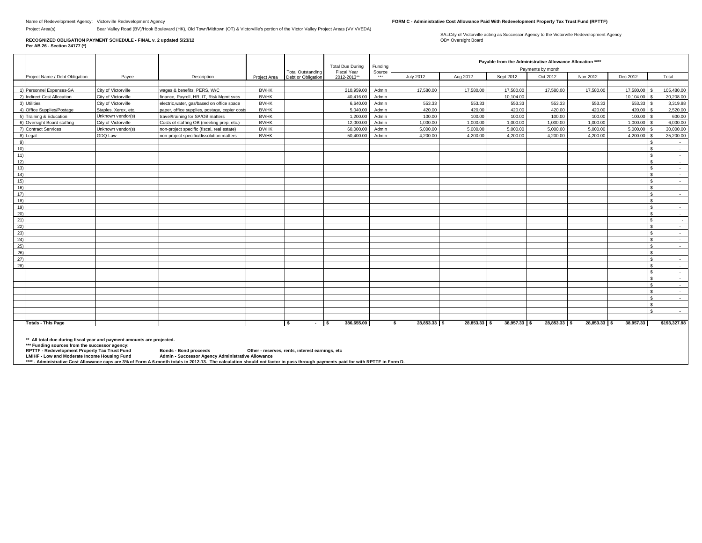Project Area(s) Bear Valley Road (BV)/Hook Boulevard (HK), Old Town/Midtown (OT) & Victorville's portion of the Victor Valley Project Areas (VV VVEDA)

#### **RECOGNIZED OBLIGATION PAYMENT SCHEDULE - FINAL v. 2 updated 5/23/12 Per AB 26 - Section 34177 (\*)**

SA=City of Victorville acting as Successor Agency to the Victorville Redevelopment Agency<br>OB= Oversight Board

|                 |                                |                      |                                               |              | <b>Total Due During</b><br>Funding             |                                   |               |                     | Payable from the Administrative Allowance Allocation ****<br>Payments by month |              |              |                           |               |                              |
|-----------------|--------------------------------|----------------------|-----------------------------------------------|--------------|------------------------------------------------|-----------------------------------|---------------|---------------------|--------------------------------------------------------------------------------|--------------|--------------|---------------------------|---------------|------------------------------|
|                 | Project Name / Debt Obligation | Payee                | Description                                   | Project Area | <b>Total Outstanding</b><br>Debt or Obligation | <b>Fiscal Year</b><br>2012-2013** | Source<br>*** | <b>July 2012</b>    | Aug 2012                                                                       | Sept 2012    | Oct 2012     | Nov 2012                  | Dec 2012      | Total                        |
|                 |                                |                      |                                               |              |                                                |                                   |               |                     |                                                                                |              |              |                           |               |                              |
|                 | 1) Personnel Expenses-SA       | City of Victorville  | wages & benefits, PERS, W/C                   | BV/HK        |                                                | 210.959.00                        | Admin         | 17.580.00           | 17,580.00                                                                      | 17,580.00    | 17,580.00    | 17,580.00                 | 17,580.00     | 105.480.00                   |
|                 | 2) Indirect Cost Allocation    | City of Victorville  | finance, Payroll, HR, IT, Risk Mgmt svcs      | <b>BV/HK</b> |                                                | 40,416.00                         | Admin         |                     |                                                                                | 10,104.00    |              |                           | 10,104.00 \$  | 20,208.00                    |
|                 | 3) Utilities                   | City of Victorville  | electric, water, gas/based on office space    | BV/HK        |                                                | 6.640.00                          | Admin         | 553.33              | 553.33                                                                         | 553.33       | 553.33       | 553.33                    | $553.33$ \$   | 3,319.98                     |
|                 | 4) Office Supplies/Postage     | Staples, Xerox, etc. | paper, office supplies, postage, copier costs | BV/HK        |                                                | 5,040.00                          | Admin         | 420.00              | 420.00                                                                         | 420.00       | 420.00       | 420.00                    | 420.00 \$     | 2,520.00                     |
|                 | 5) Training & Education        | Unknown vendor(s)    | travel/training for SA/OB matters             | BV/HK        |                                                | 1.200.00                          | Admin         | 100.00              | 100.00                                                                         | 100.00       | 100.00       | 100.00                    | $100.00$ \ \$ | 600.00                       |
|                 | 6) Oversight Board staffing    | City of Victorville  | Costs of staffing OB (meeting prep, etc.)     | BV/HK        |                                                | 12,000.00                         | Admin         | 1,000.00            | 1,000.00                                                                       | 1,000.00     | 1,000.00     | 1,000.00                  | $1,000.00$ \$ | 6,000.00                     |
|                 | 7) Contract Services           | Jnknown vendor(s)    | non-project specific (fiscal, real estate)    | BV/HK        |                                                | 60.000.00                         | Admin         | 5.000.00            | 5.000.00                                                                       | 5.000.00     | 5.000.00     | 5.000.00                  | $5.000.00$ \$ | 30,000,00                    |
|                 | 8) Legal                       | GDQ Law              | non-project specific/dissolution matters      | BV/HK        |                                                | 50,400.00                         | Admin         | 4.200.00            | 4.200.00                                                                       | 4.200.00     | 4.200.00     | 4.200.00                  | $4,200,00$ \$ | 25,200.00                    |
| 9)              |                                |                      |                                               |              |                                                |                                   |               |                     |                                                                                |              |              |                           |               | $\hat{\mathbf{z}}$<br>$\sim$ |
| 10 <sub>1</sub> |                                |                      |                                               |              |                                                |                                   |               |                     |                                                                                |              |              |                           |               | $\sim$                       |
| 11)             |                                |                      |                                               |              |                                                |                                   |               |                     |                                                                                |              |              |                           |               | l S<br>$\sim$                |
| 12)             |                                |                      |                                               |              |                                                |                                   |               |                     |                                                                                |              |              |                           |               | l s<br>$\sim$                |
| 13)             |                                |                      |                                               |              |                                                |                                   |               |                     |                                                                                |              |              |                           |               | l S<br>$\sim$                |
| 14)             |                                |                      |                                               |              |                                                |                                   |               |                     |                                                                                |              |              |                           |               | l S<br>$\sim$                |
| 15)             |                                |                      |                                               |              |                                                |                                   |               |                     |                                                                                |              |              |                           |               | S.<br>$\sim$                 |
| 16)             |                                |                      |                                               |              |                                                |                                   |               |                     |                                                                                |              |              |                           |               | l S<br>$\sim$                |
| 17)             |                                |                      |                                               |              |                                                |                                   |               |                     |                                                                                |              |              |                           |               | l s<br>$\sim$                |
| 18)             |                                |                      |                                               |              |                                                |                                   |               |                     |                                                                                |              |              |                           |               | $\mathbf{\hat{S}}$<br>$\sim$ |
| 19)             |                                |                      |                                               |              |                                                |                                   |               |                     |                                                                                |              |              |                           |               | S.<br>$\sim$ $-$             |
| 20)             |                                |                      |                                               |              |                                                |                                   |               |                     |                                                                                |              |              |                           |               | $\sim$                       |
| 21)             |                                |                      |                                               |              |                                                |                                   |               |                     |                                                                                |              |              |                           |               | $\mathbf{s}$<br>$\sim$       |
| 22)             |                                |                      |                                               |              |                                                |                                   |               |                     |                                                                                |              |              |                           |               | l s<br>$\sim$                |
| 23)             |                                |                      |                                               |              |                                                |                                   |               |                     |                                                                                |              |              |                           |               | S.<br>$\sim$                 |
| 24)             |                                |                      |                                               |              |                                                |                                   |               |                     |                                                                                |              |              |                           |               | <b>S</b><br>$\sim$ 100 $\mu$ |
| 25)             |                                |                      |                                               |              |                                                |                                   |               |                     |                                                                                |              |              |                           |               | l S<br>$\sim$                |
| 26)             |                                |                      |                                               |              |                                                |                                   |               |                     |                                                                                |              |              |                           |               | l S<br>$\sim$                |
| 27)             |                                |                      |                                               |              |                                                |                                   |               |                     |                                                                                |              |              |                           |               | l s<br>$\sim$                |
| (28)            |                                |                      |                                               |              |                                                |                                   |               |                     |                                                                                |              |              |                           |               | $\sim$<br>$\sim$             |
|                 |                                |                      |                                               |              |                                                |                                   |               |                     |                                                                                |              |              |                           |               | l S<br>$\sim$                |
|                 |                                |                      |                                               |              |                                                |                                   |               |                     |                                                                                |              |              |                           |               | $\sim$                       |
|                 |                                |                      |                                               |              |                                                |                                   |               |                     |                                                                                |              |              |                           |               | $\mathbf{\hat{S}}$<br>$\sim$ |
|                 |                                |                      |                                               |              |                                                |                                   |               |                     |                                                                                |              |              |                           |               | l s<br>$\sim$                |
|                 |                                |                      |                                               |              |                                                |                                   |               |                     |                                                                                |              |              |                           |               | $\sim$<br>$\sim$             |
|                 |                                |                      |                                               |              |                                                |                                   |               |                     |                                                                                |              |              |                           |               | $\mathbf{s}$<br>$\sim$       |
|                 |                                |                      |                                               |              |                                                |                                   |               |                     |                                                                                |              |              |                           |               | $\sim$                       |
|                 |                                |                      |                                               |              |                                                |                                   |               |                     |                                                                                |              |              |                           |               |                              |
|                 | <b>Totals - This Page</b>      |                      |                                               |              | l s<br>$-$ s                                   | 386,655.00                        |               | 28,853.33 \$<br>l s | $28.853.33$ S                                                                  | 38,957.33 \$ | 28.853.33 \$ | $28.853.33$ $\frac{1}{5}$ | 38.957.33     | \$193,327.98                 |

**\*\* All total due during fiscal year and payment amounts are projected.** 

**\*\*\* Funding sources from the successor agency:** 

**RPTTF - Redevelopment Property Tax Trust Fund Bonds - Bond proceeds Other - reserves, rents, interest earnings, etc**

**LMIHF - Low and Moderate Income Housing Fund Admin - Successor Agency Administrative Allowance**

\*\*\*\* - Administrative Cost Allowance caps are 3% of Form A 6-month totals in 2012-13. The calculation should not factor in pass through payments paid for with RPTTF in Form D.